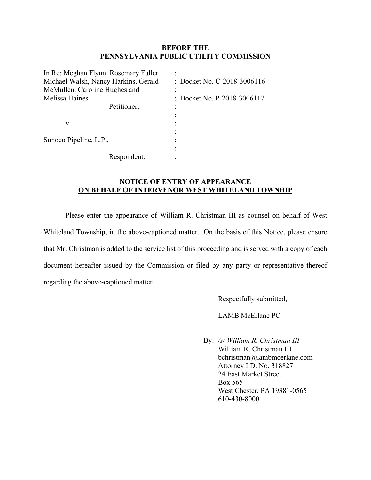## **BEFORE THE PENNSYLVANIA PUBLIC UTILITY COMMISSION**

| In Re: Meghan Flynn, Rosemary Fuller |                             |
|--------------------------------------|-----------------------------|
| Michael Walsh, Nancy Harkins, Gerald | : Docket No. C-2018-3006116 |
| McMullen, Caroline Hughes and        |                             |
| Melissa Haines                       | : Docket No. P-2018-3006117 |
| Petitioner,                          |                             |
|                                      |                             |
| v.                                   |                             |
|                                      |                             |
| Sunoco Pipeline, L.P.,               |                             |
|                                      |                             |
| Respondent.                          |                             |

## **NOTICE OF ENTRY OF APPEARANCE ON BEHALF OF INTERVENOR WEST WHITELAND TOWNHIP**

Please enter the appearance of William R. Christman III as counsel on behalf of West Whiteland Township, in the above-captioned matter. On the basis of this Notice, please ensure that Mr. Christman is added to the service list of this proceeding and is served with a copy of each document hereafter issued by the Commission or filed by any party or representative thereof regarding the above-captioned matter.

Respectfully submitted,

LAMB McErlane PC

 By: */s/ William R. Christman III*  William R. Christman III bchristman@lambmcerlane.com Attorney I.D. No. 318827 24 East Market Street Box 565 West Chester, PA 19381-0565 610-430-8000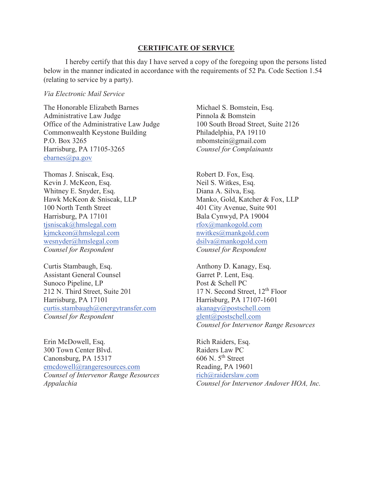## **CERTIFICATE OF SERVICE**

I hereby certify that this day I have served a copy of the foregoing upon the persons listed below in the manner indicated in accordance with the requirements of 52 Pa. Code Section 1.54 (relating to service by a party).

## *Via Electronic Mail Service*

The Honorable Elizabeth Barnes Michael S. Bomstein, Esq. Administrative Law Judge Pinnola & Bomstein Office of the Administrative Law Judge 100 South Broad Street, Suite 2126 Commonwealth Keystone Building Philadelphia, PA 19110 P.O. Box 3265 mbomstein@gmail.com Harrisburg, PA 17105-3265 *Counsel for Complainants*  ebarnes@pa.gov

Thomas J. Sniscak, Esq. Robert D. Fox, Esq. Kevin J. McKeon, Esq. Neil S. Witkes, Esq. Whitney E. Snyder, Esq. Diana A. Silva, Esq. 100 North Tenth Street 401 City Avenue, Suite 901 Harrisburg, PA 17101 Bala Cynwyd, PA 19004 tjsniscak@hmslegal.com rfox@mankogold.com kjmckeon@hmslegal.com nwitkes@mankgold.com wesnyder@hmslegal.com dsilva@mankogold.com *Counsel for Respondent Counsel for Respondent* 

Curtis Stambaugh, Esq. **Anthony D. Kanagy, Esq. Anthony D. Kanagy**, Esq. Assistant General Counsel Garret P. Lent, Esq. Sunoco Pipeline, LP Post & Schell PC 212 N. Third Street, Suite 201 17 N. Second Street, 12<sup>th</sup> Floor Harrisburg, PA 17101 Harrisburg, PA 17107-1601 curtis.stambaugh@energytransfer.com akanagy@postschell.com *Counsel for Respondent* **glent**@postschell.com

Erin McDowell, Esq. **Rich Raiders**, Esq. 300 Town Center Blvd.<br>
Canonsburg, PA 15317 606 N. 5<sup>th</sup> Street Canonsburg, PA 15317 emcdowell@rangeresources.com Reading, PA 19601 *Counsel of Intervenor Range Resources* rich@raiderslaw.com

Hawk McKeon & Sniscak, LLP Manko, Gold, Katcher & Fox, LLP

*Counsel for Intervenor Range Resources* 

*Appalachia Counsel for Intervenor Andover HOA, Inc.*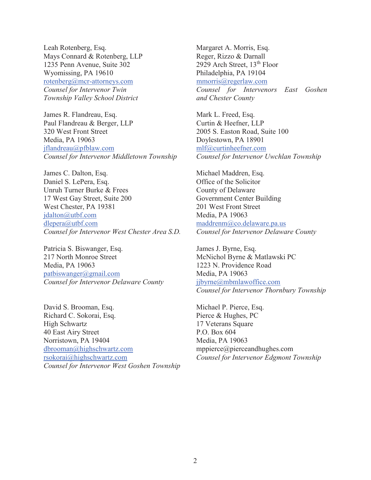Leah Rotenberg, Esq. Margaret A. Morris, Esq. Mays Connard & Rotenberg, LLP Reger, Rizzo & Darnall 1235 Penn Avenue, Suite 302 2929 Arch Street, 13<sup>th</sup> Floor Wyomissing, PA 19610 Philadelphia, PA 19104 rotenberg@mcr-attorneys.com mmorris@regerlaw.com *Township Valley School District and Chester County* 

James R. Flandreau, Esq. Mark L. Freed, Esq. Paul Flandreau & Berger, LLP Curtin & Heefner, LLP 320 West Front Street 2005 S. Easton Road, Suite 100 Media, PA 19063 Doylestown, PA 18901 jflandreau@pfblaw.com mlf@curtinheefner.com *Counsel for Intervenor Middletown Township Counsel for Intervenor Uwchlan Township* 

James C. Dalton, Esq. Michael Maddren, Esq. Daniel S. LePera, Esq.  $\qquad \qquad$  Office of the Solicitor Unruh Turner Burke & Frees County of Delaware 17 West Gay Street, Suite 200 Government Center Building West Chester, PA 19381 201 West Front Street jdalton@utbf.com Media, PA 19063 dlepera@utbf.com maddrenm@co.delaware.pa.us *Counsel for Intervenor West Chester Area S.D. Counsel for Intervenor Delaware County* 

Patricia S. Biswanger, Esq. James J. Byrne, Esq. 217 North Monroe Street McNichol Byrne & Matlawski PC Media, PA 19063 1223 N. Providence Road patbiswanger@gmail.com Media, PA 19063 *Counsel for Intervenor Delaware County jjbyrne@mbmlawoffice.com* 

David S. Brooman, Esq. Michael P. Pierce, Esq. Richard C. Sokorai, Esq. Pierce & Hughes, PC High Schwartz 17 Veterans Square 40 East Airy Street P.O. Box 604 Norristown, PA 19404 Media, PA 19063 dbrooman@highschwartz.com mppierce@pierceandhughes.com rsokorai@highschwartz.com *Counsel for Intervenor Edgmont Township Counsel for Intervenor West Goshen Township*

*Counsel for Intervenor Twin Counsel for Intervenors East Goshen* 

*Counsel for Intervenor Thornbury Township*